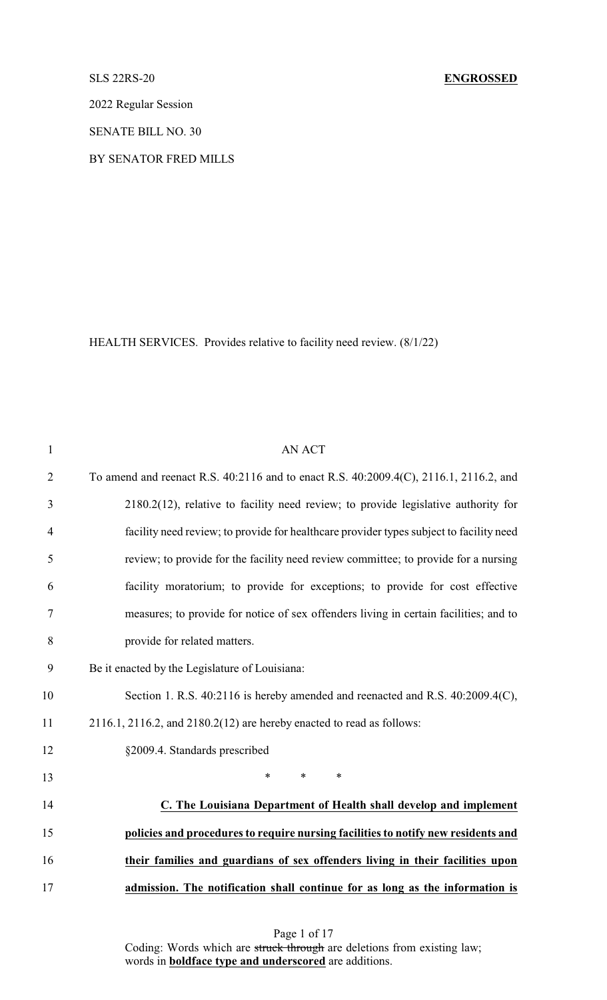2022 Regular Session

SENATE BILL NO. 30

BY SENATOR FRED MILLS

HEALTH SERVICES. Provides relative to facility need review. (8/1/22)

| $\mathbf{1}$   | <b>AN ACT</b>                                                                           |
|----------------|-----------------------------------------------------------------------------------------|
| $\overline{2}$ | To amend and reenact R.S. 40:2116 and to enact R.S. 40:2009.4(C), 2116.1, 2116.2, and   |
| 3              | 2180.2(12), relative to facility need review; to provide legislative authority for      |
| $\overline{4}$ | facility need review; to provide for healthcare provider types subject to facility need |
| 5              | review; to provide for the facility need review committee; to provide for a nursing     |
| 6              | facility moratorium; to provide for exceptions; to provide for cost effective           |
| $\tau$         | measures; to provide for notice of sex offenders living in certain facilities; and to   |
| 8              | provide for related matters.                                                            |
| 9              | Be it enacted by the Legislature of Louisiana:                                          |
| 10             | Section 1. R.S. 40:2116 is hereby amended and reenacted and R.S. 40:2009.4(C),          |
| 11             | $2116.1$ , $2116.2$ , and $2180.2(12)$ are hereby enacted to read as follows:           |
| 12             | §2009.4. Standards prescribed                                                           |
| 13             | $\ast$<br>$\ast$<br>$\ast$                                                              |
| 14             | C. The Louisiana Department of Health shall develop and implement                       |
| 15             | policies and procedures to require nursing facilities to notify new residents and       |
| 16             | their families and guardians of sex offenders living in their facilities upon           |
| 17             | admission. The notification shall continue for as long as the information is            |
|                |                                                                                         |

Page 1 of 17

Coding: Words which are struck through are deletions from existing law; words in **boldface type and underscored** are additions.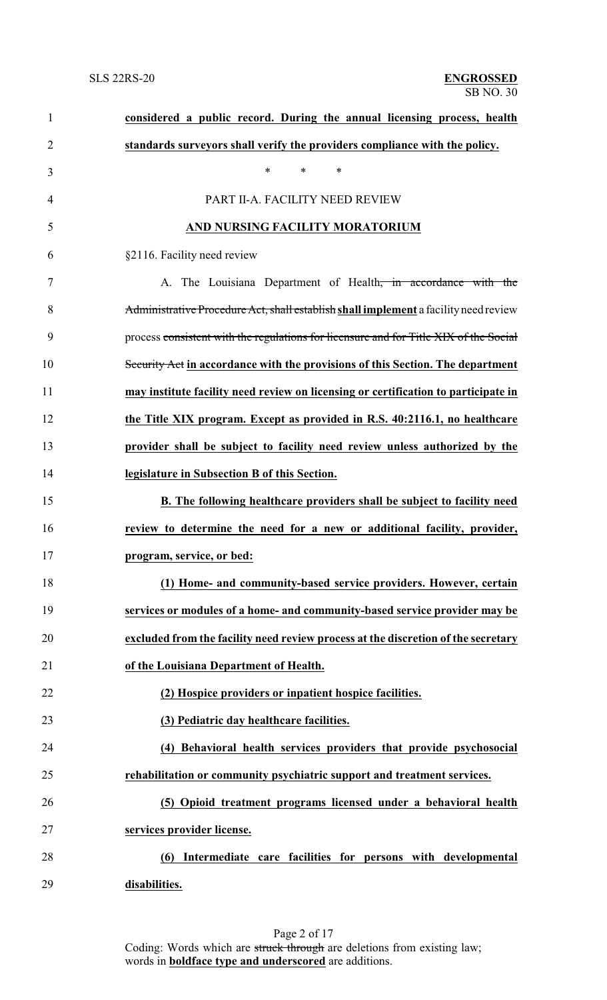| $\mathbf{1}$   | considered a public record. During the annual licensing process, health               |
|----------------|---------------------------------------------------------------------------------------|
| $\overline{2}$ | standards surveyors shall verify the providers compliance with the policy.            |
| 3              | *<br>$\ast$<br>$\ast$                                                                 |
| 4              | PART II-A. FACILITY NEED REVIEW                                                       |
| 5              | AND NURSING FACILITY MORATORIUM                                                       |
| 6              | §2116. Facility need review                                                           |
| 7              | A. The Louisiana Department of Health <del>, in accordance with the</del>             |
| 8              | Administrative Procedure Act, shall establish shall implement a facility need review  |
| 9              | process consistent with the regulations for licensure and for Title XIX of the Social |
| 10             | Security Act in accordance with the provisions of this Section. The department        |
| 11             | may institute facility need review on licensing or certification to participate in    |
| 12             | the Title XIX program. Except as provided in R.S. 40:2116.1, no healthcare            |
| 13             | provider shall be subject to facility need review unless authorized by the            |
| 14             | legislature in Subsection B of this Section.                                          |
| 15             | B. The following healthcare providers shall be subject to facility need               |
| 16             | review to determine the need for a new or additional facility, provider,              |
| 17             | program, service, or bed:                                                             |
| 18             | (1) Home- and community-based service providers. However, certain                     |
| 19             | services or modules of a home- and community-based service provider may be            |
| 20             | excluded from the facility need review process at the discretion of the secretary     |
| 21             | of the Louisiana Department of Health.                                                |
| 22             | (2) Hospice providers or inpatient hospice facilities.                                |
| 23             | (3) Pediatric day healthcare facilities.                                              |
| 24             | (4) Behavioral health services providers that provide psychosocial                    |
| 25             | rehabilitation or community psychiatric support and treatment services.               |
| 26             | (5) Opioid treatment programs licensed under a behavioral health                      |
| 27             | services provider license.                                                            |
| 28             | Intermediate care facilities for persons with developmental<br>(6)                    |
| 29             | disabilities.                                                                         |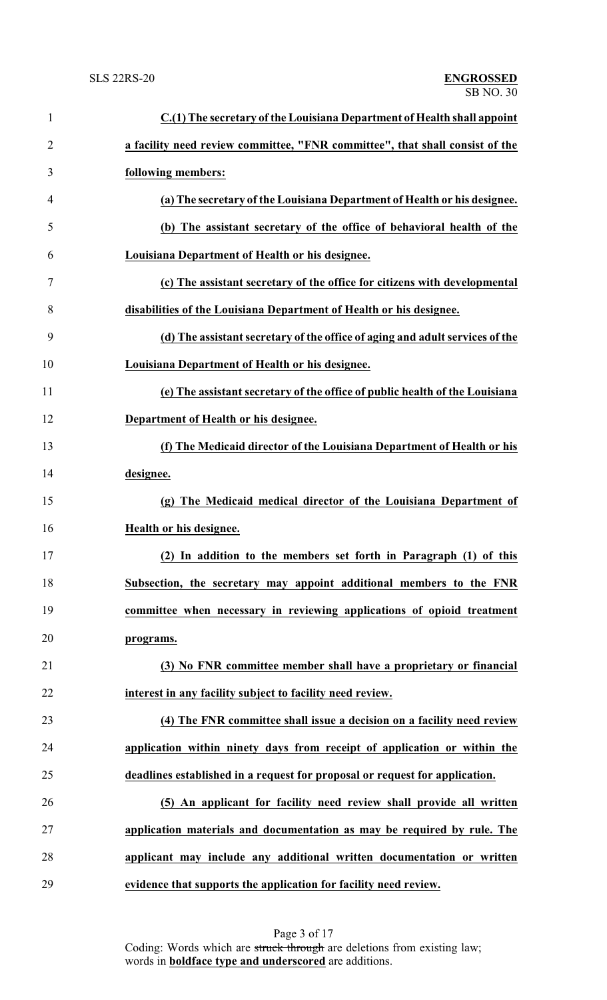| 1              | C.(1) The secretary of the Louisiana Department of Health shall appoint      |
|----------------|------------------------------------------------------------------------------|
| $\overline{2}$ | a facility need review committee, "FNR committee", that shall consist of the |
| 3              | following members:                                                           |
| 4              | (a) The secretary of the Louisiana Department of Health or his designee.     |
| 5              | (b) The assistant secretary of the office of behavioral health of the        |
| 6              | Louisiana Department of Health or his designee.                              |
| 7              | (c) The assistant secretary of the office for citizens with developmental    |
| 8              | disabilities of the Louisiana Department of Health or his designee.          |
| 9              | (d) The assistant secretary of the office of aging and adult services of the |
| 10             | Louisiana Department of Health or his designee.                              |
| 11             | (e) The assistant secretary of the office of public health of the Louisiana  |
| 12             | Department of Health or his designee.                                        |
| 13             | (f) The Medicaid director of the Louisiana Department of Health or his       |
| 14             | designee.                                                                    |
| 15             | (g) The Medicaid medical director of the Louisiana Department of             |
| 16             | Health or his designee.                                                      |
| 17             | (2) In addition to the members set forth in Paragraph (1) of this            |
| 18             | Subsection, the secretary may appoint additional members to the FNR          |
| 19             | committee when necessary in reviewing applications of opioid treatment       |
| 20             | programs.                                                                    |
| 21             | (3) No FNR committee member shall have a proprietary or financial            |
| 22             | interest in any facility subject to facility need review.                    |
| 23             | (4) The FNR committee shall issue a decision on a facility need review       |
| 24             | application within ninety days from receipt of application or within the     |
| 25             | deadlines established in a request for proposal or request for application.  |
| 26             | (5) An applicant for facility need review shall provide all written          |
| 27             | application materials and documentation as may be required by rule. The      |
| 28             | applicant may include any additional written documentation or written        |
| 29             | evidence that supports the application for facility need review.             |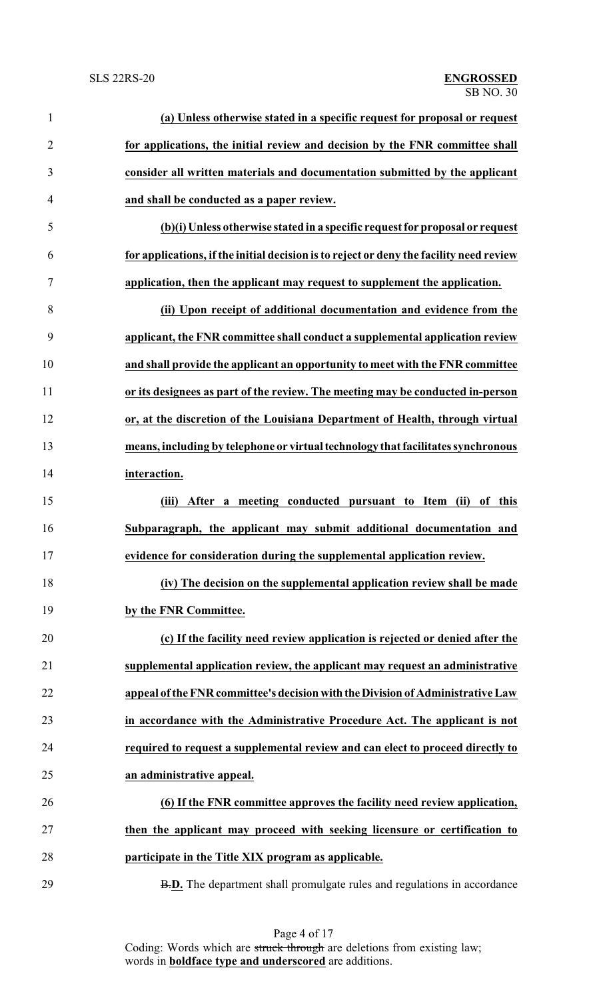| $\mathbf{1}$   | (a) Unless otherwise stated in a specific request for proposal or request               |
|----------------|-----------------------------------------------------------------------------------------|
| $\overline{2}$ | for applications, the initial review and decision by the FNR committee shall            |
| 3              | consider all written materials and documentation submitted by the applicant             |
| 4              | and shall be conducted as a paper review.                                               |
| 5              | (b)(i) Unless otherwise stated in a specific request for proposal or request            |
| 6              | for applications, if the initial decision is to reject or deny the facility need review |
| 7              | application, then the applicant may request to supplement the application.              |
| 8              | (ii) Upon receipt of additional documentation and evidence from the                     |
| 9              | applicant, the FNR committee shall conduct a supplemental application review            |
| 10             | and shall provide the applicant an opportunity to meet with the FNR committee           |
| 11             | or its designees as part of the review. The meeting may be conducted in-person          |
| 12             | or, at the discretion of the Louisiana Department of Health, through virtual            |
| 13             | means, including by telephone or virtual technology that facilitates synchronous        |
| 14             | interaction.                                                                            |
| 15             | After a meeting conducted pursuant to Item (ii) of this<br>(iii)                        |
| 16             | Subparagraph, the applicant may submit additional documentation and                     |
| 17             | evidence for consideration during the supplemental application review.                  |
| 18             | (iv) The decision on the supplemental application review shall be made                  |
| 19             | by the FNR Committee.                                                                   |
| 20             | (c) If the facility need review application is rejected or denied after the             |
| 21             | supplemental application review, the applicant may request an administrative            |
| 22             | appeal of the FNR committee's decision with the Division of Administrative Law          |
| 23             | in accordance with the Administrative Procedure Act. The applicant is not               |
| 24             | required to request a supplemental review and can elect to proceed directly to          |
| 25             | an administrative appeal.                                                               |
| 26             | (6) If the FNR committee approves the facility need review application,                 |
| 27             | then the applicant may proceed with seeking licensure or certification to               |
| 28             | participate in the Title XIX program as applicable.                                     |
| 29             | <b>B.D.</b> The department shall promulgate rules and regulations in accordance         |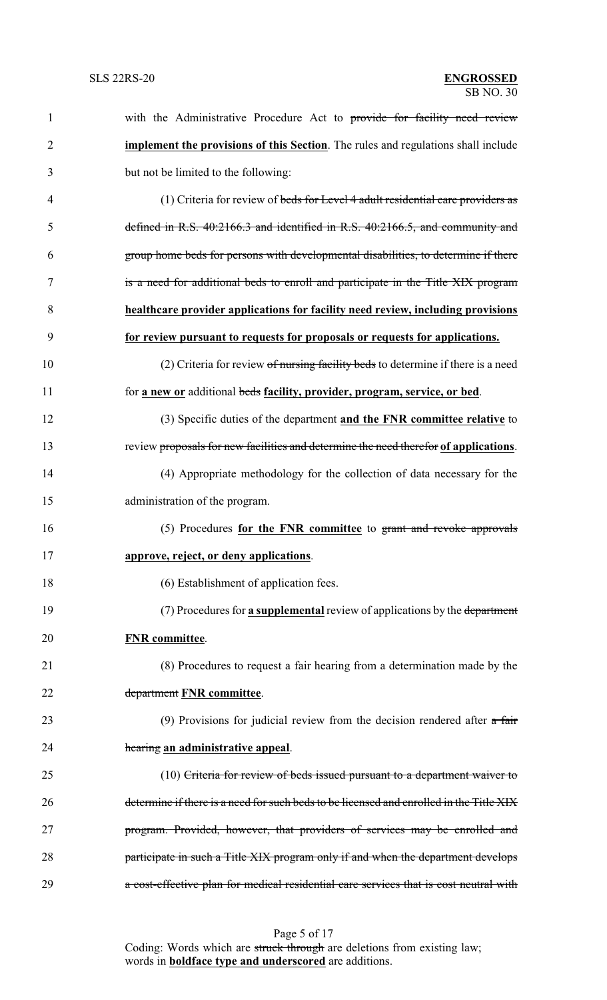| 1              | with the Administrative Procedure Act to provide for facility need review                 |
|----------------|-------------------------------------------------------------------------------------------|
| $\overline{2}$ | <b>implement the provisions of this Section</b> . The rules and regulations shall include |
| 3              | but not be limited to the following:                                                      |
| $\overline{4}$ | (1) Criteria for review of beds for Level 4 adult residential care providers as           |
| 5              | defined in R.S. 40:2166.3 and identified in R.S. 40:2166.5, and community and             |
| 6              | group home beds for persons with developmental disabilities, to determine if there        |
| 7              | is a need for additional beds to enroll and participate in the Title XIX program          |
| 8              | healthcare provider applications for facility need review, including provisions           |
| 9              | for review pursuant to requests for proposals or requests for applications.               |
| 10             | (2) Criteria for review $of$ nursing facility beds to determine if there is a need        |
| 11             | for a new or additional beds facility, provider, program, service, or bed.                |
| 12             | (3) Specific duties of the department and the FNR committee relative to                   |
| 13             | review proposals for new facilities and determine the need therefor of applications.      |
| 14             | (4) Appropriate methodology for the collection of data necessary for the                  |
| 15             | administration of the program.                                                            |
| 16             | (5) Procedures for the FNR committee to grant and revoke approvals                        |
| 17             | approve, reject, or deny applications.                                                    |
| 18             | (6) Establishment of application fees.                                                    |
| 19             | (7) Procedures for a supplemental review of applications by the department                |
| 20             | <b>FNR</b> committee.                                                                     |
| 21             | (8) Procedures to request a fair hearing from a determination made by the                 |
| 22             | department FNR committee.                                                                 |
| 23             | (9) Provisions for judicial review from the decision rendered after $a$ fair              |
| 24             | hearing an administrative appeal.                                                         |
| 25             | $(10)$ Criteria for review of beds issued pursuant to a department waiver to              |
| 26             | determine if there is a need for such beds to be licensed and enrolled in the Title XIX   |
| 27             | program. Provided, however, that providers of services may be enrolled and                |
| 28             | participate in such a Title XIX program only if and when the department develops          |
| 29             | a cost-effective plan for medical residential care services that is cost neutral with     |

Page 5 of 17 Coding: Words which are struck through are deletions from existing law; words in **boldface type and underscored** are additions.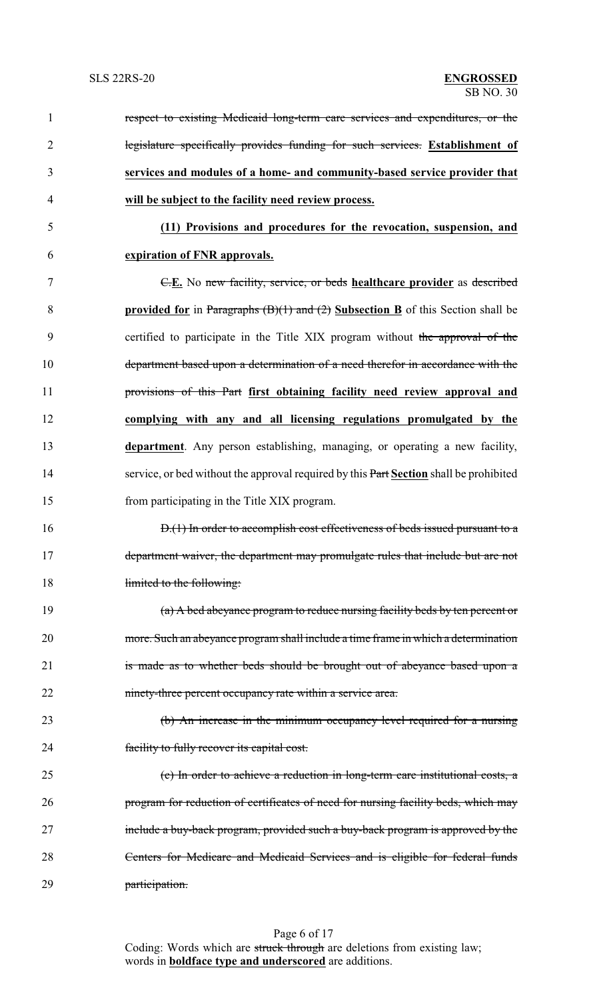| $\mathbf{1}$   | respect to existing Medicaid long-term care services and expenditures, or the                     |
|----------------|---------------------------------------------------------------------------------------------------|
| $\overline{2}$ | legislature specifically provides funding for such services. Establishment of                     |
| 3              | services and modules of a home- and community-based service provider that                         |
| 4              | will be subject to the facility need review process.                                              |
| 5              | (11) Provisions and procedures for the revocation, suspension, and                                |
| 6              | expiration of FNR approvals.                                                                      |
| 7              | E.E. No new facility, service, or beds healthcare provider as described                           |
| 8              | <b>provided for</b> in Paragraphs $(B)(1)$ and $(2)$ <b>Subsection B</b> of this Section shall be |
| 9              | certified to participate in the Title XIX program without the approval of the                     |
| 10             | department based upon a determination of a need therefor in accordance with the                   |
| 11             | provisions of this Part first obtaining facility need review approval and                         |
| 12             | complying with any and all licensing regulations promulgated by the                               |
| 13             | department. Any person establishing, managing, or operating a new facility,                       |
| 14             | service, or bed without the approval required by this Part Section shall be prohibited            |
| 15             | from participating in the Title XIX program.                                                      |
| 16             | D.(1) In order to accomplish cost effectiveness of beds issued pursuant to a                      |
| 17             | department waiver, the department may promulgate rules that include but are not                   |
| 18             | limited to the following:                                                                         |
| 19             | (a) A bed abeyance program to reduce nursing facility beds by ten percent or                      |
| 20             | more. Such an abeyance program shall include a time frame in which a determination                |
| 21             | is made as to whether beds should be brought out of abeyance based upon a                         |
| 22             | ninety-three percent occupancy rate within a service area.                                        |
| 23             | (b) An increase in the minimum occupancy level required for a nursing                             |
| 24             | facility to fully recover its capital cost.                                                       |
| 25             | (c) In order to achieve a reduction in long-term care institutional costs, a                      |
| 26             | program for reduction of certificates of need for nursing facility beds, which may                |
| 27             | include a buy-back program, provided such a buy-back program is approved by the                   |
| 28             | Centers for Medicare and Medicaid Services and is eligible for federal funds                      |
| 29             | participation.                                                                                    |

Page 6 of 17 Coding: Words which are struck through are deletions from existing law; words in **boldface type and underscored** are additions.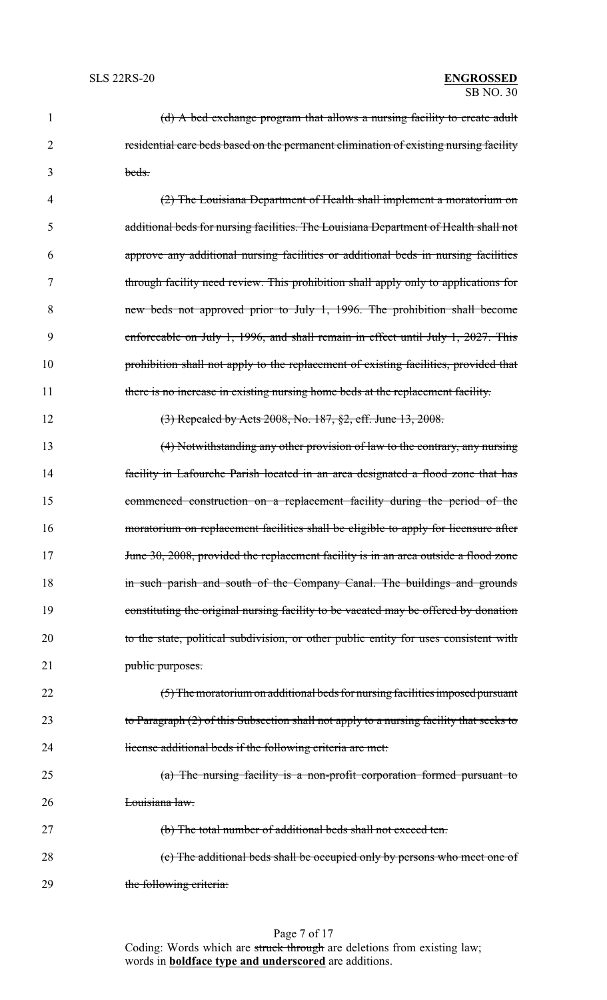| 1              | (d) A bed exchange program that allows a nursing facility to create adult                 |
|----------------|-------------------------------------------------------------------------------------------|
| $\overline{2}$ | residential care beds based on the permanent elimination of existing nursing facility     |
| 3              | beds.                                                                                     |
| 4              | (2) The Louisiana Department of Health shall implement a moratorium on                    |
| 5              | additional beds for nursing facilities. The Louisiana Department of Health shall not      |
| 6              | approve any additional nursing facilities or additional beds in nursing facilities        |
| 7              | through facility need review. This prohibition shall apply only to applications for       |
| 8              | new beds not approved prior to July 1, 1996. The prohibition shall become                 |
| 9              | enforceable on July 1, 1996, and shall remain in effect until July 1, 2027. This          |
| 10             | prohibition shall not apply to the replacement of existing facilities, provided that      |
| 11             | there is no increase in existing nursing home beds at the replacement facility.           |
| 12             | (3) Repealed by Acts 2008, No. 187, §2, eff. June 13, 2008.                               |
| 13             | (4) Notwithstanding any other provision of law to the contrary, any nursing               |
| 14             | facility in Lafourche Parish located in an area designated a flood zone that has          |
| 15             | commenced construction on a replacement facility during the period of the                 |
| 16             | moratorium on replacement facilities shall be eligible to apply for licensure after       |
| 17             | June 30, 2008, provided the replacement facility is in an area outside a flood zone       |
| 18             | in such parish and south of the Company Canal. The buildings and grounds                  |
| 19             | constituting the original nursing facility to be vacated may be offered by donation       |
| 20             | to the state, political subdivision, or other public entity for uses consistent with      |
| 21             | public purposes.                                                                          |
| 22             | (5) The moratorium on additional beds for nursing facilities imposed pursuant             |
| 23             | to Paragraph $(2)$ of this Subsection shall not apply to a nursing facility that seeks to |
| 24             | license additional beds if the following criteria are met.                                |
| 25             | $(a)$ The nursing facility is a non-profit corporation formed pursuant to                 |
| 26             | Louisiana law.                                                                            |
| 27             | (b) The total number of additional beds shall not exceed ten.                             |
| 28             | (c) The additional beds shall be occupied only by persons who meet one of                 |
| 29             | the following criteria:                                                                   |

Page 7 of 17 Coding: Words which are struck through are deletions from existing law; words in **boldface type and underscored** are additions.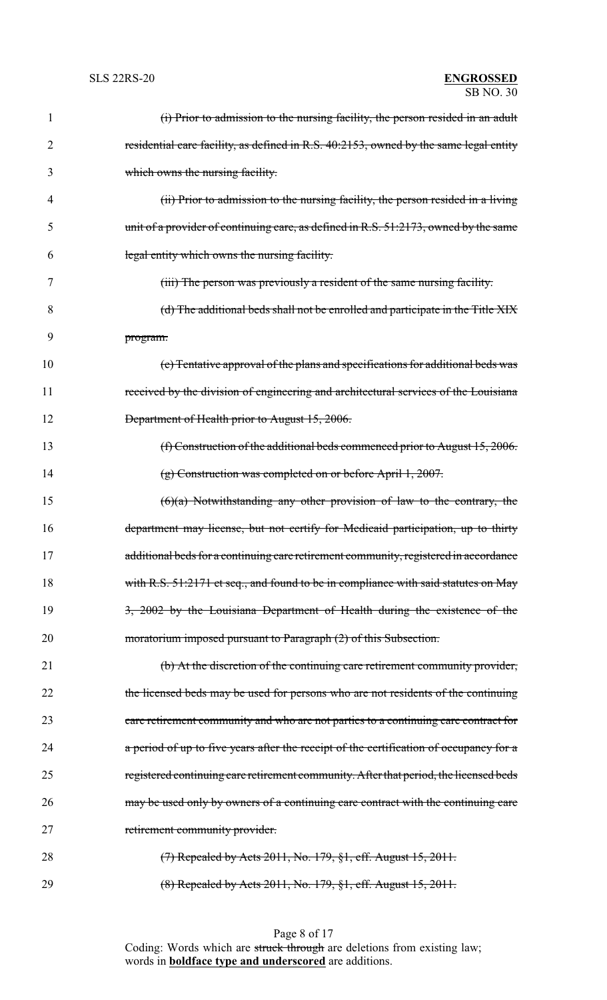| $\mathbf{1}$ | (i) Prior to admission to the nursing facility, the person resided in an adult         |
|--------------|----------------------------------------------------------------------------------------|
| 2            | residential care facility, as defined in R.S. 40:2153, owned by the same legal entity  |
| 3            | which owns the nursing facility.                                                       |
| 4            | (ii) Prior to admission to the nursing facility, the person resided in a living        |
| 5            | unit of a provider of continuing care, as defined in R.S. 51:2173, owned by the same   |
| 6            | legal entity which owns the nursing facility.                                          |
| 7            | (iii) The person was previously a resident of the same nursing facility.               |
| 8            | (d) The additional beds shall not be enrolled and participate in the Title XIX         |
| 9            | program.                                                                               |
| 10           | (e) Tentative approval of the plans and specifications for additional beds was         |
| 11           | received by the division of engineering and architectural services of the Louisiana    |
| 12           | Department of Health prior to August 15, 2006.                                         |
| 13           | (f) Construction of the additional beds commenced prior to August $15,2006$ .          |
| 14           | $(g)$ Construction was completed on or before April 1, 2007.                           |
| 15           | $(6)(a)$ Notwithstanding any other provision of law to the contrary, the               |
| 16           | department may license, but not certify for Medicaid participation, up to thirty       |
| 17           | additional beds for a continuing care retirement community, registered in accordance   |
| 18           | with R.S. 51:2171 et seq., and found to be in compliance with said statutes on May     |
| 19           | 3, 2002 by the Louisiana Department of Health during the existence of the              |
| 20           | moratorium imposed pursuant to Paragraph (2) of this Subsection.                       |
| 21           | (b) At the discretion of the continuing care retirement community provider,            |
| 22           | the licensed beds may be used for persons who are not residents of the continuing      |
| 23           | care retirement community and who are not parties to a continuing care contract for    |
| 24           | a period of up to five years after the receipt of the certification of occupancy for a |
| 25           | registered continuing care retirement community. After that period, the licensed beds  |
| 26           | may be used only by owners of a continuing care contract with the continuing care      |
| 27           | retirement community provider.                                                         |
| 28           | $(7)$ Repealed by Acts 2011, No. 179, §1, eff. August 15, 2011.                        |
| 29           | (8) Repealed by Acts 2011, No. 179, §1, eff. August 15, 2011.                          |

Page 8 of 17 Coding: Words which are struck through are deletions from existing law; words in **boldface type and underscored** are additions.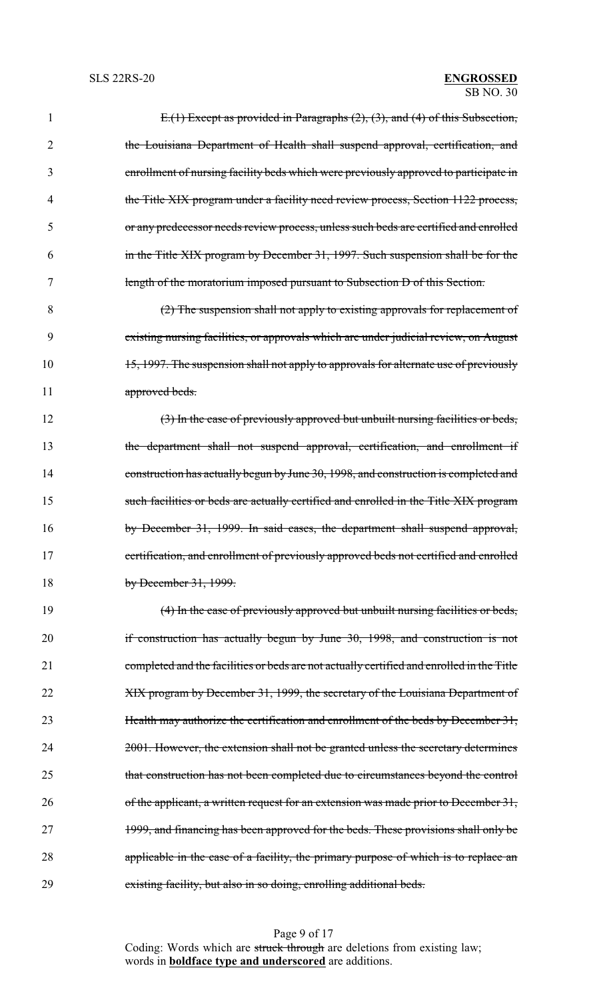| $\mathbf{1}$   | E.(1) Except as provided in Paragraphs (2), (3), and (4) of this Subsection,              |
|----------------|-------------------------------------------------------------------------------------------|
| $\overline{2}$ | the Louisiana Department of Health shall suspend approval, certification, and             |
| 3              | enrollment of nursing facility beds which were previously approved to participate in      |
| 4              | the Title XIX program under a facility need review process, Section 1122 process,         |
| 5              | or any predecessor needs review process, unless such beds are certified and enrolled      |
| 6              | in the Title XIX program by December 31, 1997. Such suspension shall be for the           |
| 7              | length of the moratorium imposed pursuant to Subsection D of this Section.                |
| 8              | (2) The suspension shall not apply to existing approvals for replacement of               |
| 9              | existing nursing facilities, or approvals which are under judicial review, on August      |
| 10             | 15, 1997. The suspension shall not apply to approvals for alternate use of previously     |
| 11             | approved beds.                                                                            |
| 12             | (3) In the case of previously approved but unbuilt nursing facilities or beds,            |
| 13             | the department shall not suspend approval, certification, and enrollment if               |
| 14             | construction has actually begun by June 30, 1998, and construction is completed and       |
| 15             | such facilities or beds are actually certified and enrolled in the Title XIX program      |
| 16             | by December 31, 1999. In said cases, the department shall suspend approval,               |
| 17             | certification, and enrollment of previously approved beds not certified and enrolled      |
| 18             | by December $31, 1999$ .                                                                  |
| 19             | (4) In the case of previously approved but unbuilt nursing facilities or beds,            |
| 20             | if construction has actually begun by June 30, 1998, and construction is not              |
| 21             | completed and the facilities or beds are not actually certified and enrolled in the Title |
| 22             | XIX program by December 31, 1999, the secretary of the Louisiana Department of            |
| 23             | Health may authorize the certification and enrollment of the beds by December 31,         |
| 24             | 2001. However, the extension shall not be granted unless the secretary determines         |
|                |                                                                                           |

Page 9 of 17 Coding: Words which are struck through are deletions from existing law; words in **boldface type and underscored** are additions.

25 that construction has not been completed due to circumstances beyond the control

26 of the applicant, a written request for an extension was made prior to December 31,

27 1999, and financing has been approved for the beds. These provisions shall only be

28 applicable in the case of a facility, the primary purpose of which is to replace an

29 existing facility, but also in so doing, enrolling additional beds.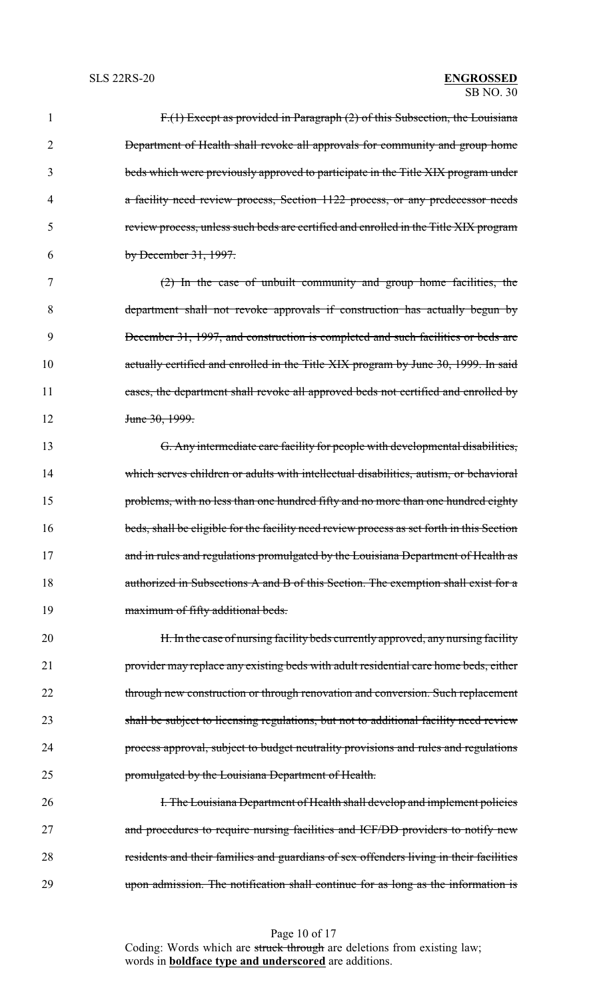| $\mathbf{1}$ | F.(1) Except as provided in Paragraph (2) of this Subsection, the Louisiana               |
|--------------|-------------------------------------------------------------------------------------------|
| 2            | Department of Health shall revoke all approvals for community and group home              |
| 3            | beds which were previously approved to participate in the Title XIX program under         |
| 4            | a facility need review process, Section 1122 process, or any predecessor needs            |
| 5            | review process, unless such beds are certified and enrolled in the Title XIX program      |
| 6            | by December $31, 1997$ .                                                                  |
| 7            | $(2)$ In the case of unbuilt community and group home facilities, the                     |
| 8            | department shall not revoke approvals if construction has actually begun by               |
| 9            | December 31, 1997, and construction is completed and such facilities or beds are          |
| 10           | actually certified and enrolled in the Title XIX program by June 30, 1999. In said        |
| 11           | cases, the department shall revoke all approved beds not certified and enrolled by        |
| 12           | <del>June 30, 1999.</del>                                                                 |
| 13           | G. Any intermediate care facility for people with developmental disabilities,             |
| 14           | which serves children or adults with intellectual disabilities, autism, or behavioral     |
| 15           | problems, with no less than one hundred fifty and no more than one hundred eighty         |
| 16           | beds, shall be eligible for the facility need review process as set forth in this Section |
| 17           | and in rules and regulations promulgated by the Louisiana Department of Health as         |
| 18           | authorized in Subsections A and B of this Section. The exemption shall exist for a        |
| 19           | maximum of fifty additional beds.                                                         |
| 20           | H. In the case of nursing facility beds currently approved, any nursing facility          |
| 21           | provider may replace any existing beds with adult residential care home beds, either      |
| 22           | through new construction or through renovation and conversion. Such replacement           |
| 23           | shall be subject to licensing regulations, but not to additional facility need review     |
| 24           | process approval, subject to budget neutrality provisions and rules and regulations       |
| 25           | promulgated by the Louisiana Department of Health.                                        |
| 26           | <b>I. The Louisiana Department of Health shall develop and implement policies</b>         |
| 27           | and procedures to require nursing facilities and ICF/DD providers to notify new           |
| 28           | residents and their families and guardians of sex offenders living in their facilities    |
| 29           | upon admission. The notification shall continue for as long as the information is         |

Page 10 of 17 Coding: Words which are struck through are deletions from existing law; words in **boldface type and underscored** are additions.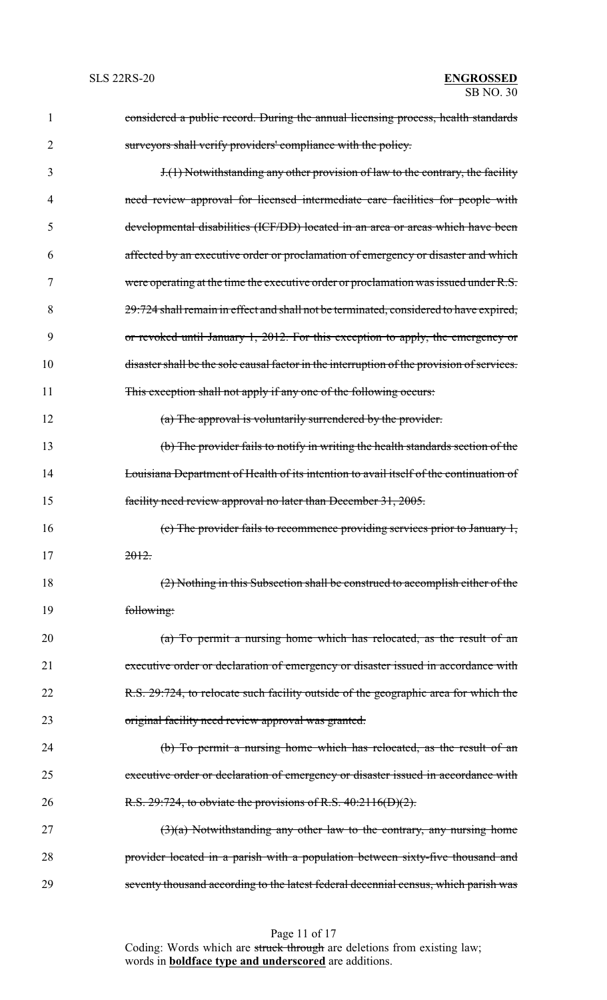| 1  | considered a public record. During the annual licensing process, health standards          |
|----|--------------------------------------------------------------------------------------------|
| 2  | surveyors shall verify providers' compliance with the policy.                              |
| 3  | $J(1)$ Notwithstanding any other provision of law to the contrary, the facility            |
| 4  | need review approval for licensed intermediate care facilities for people with             |
| 5  | developmental disabilities (ICF/DD) located in an area or areas which have been            |
| 6  | affected by an executive order or proclamation of emergency or disaster and which          |
| 7  | were operating at the time the executive order or proclamation was issued under R.S.       |
| 8  | 29:724 shall remain in effect and shall not be terminated, considered to have expired,     |
| 9  | or revoked until January 1, 2012. For this exception to apply, the emergency or            |
| 10 | disaster shall be the sole causal factor in the interruption of the provision of services. |
| 11 | This exception shall not apply if any one of the following occurs:                         |
| 12 | (a) The approval is voluntarily surrendered by the provider.                               |
| 13 | (b) The provider fails to notify in writing the health standards section of the            |
| 14 | Louisiana Department of Health of its intention to avail itself of the continuation of     |
| 15 | facility need review approval no later than December 31, 2005.                             |
| 16 | (c) The provider fails to recommence providing services prior to January 1,                |
| 17 | 2012.                                                                                      |
| 18 | (2) Nothing in this Subsection shall be construed to accomplish either of the              |
| 19 | following:                                                                                 |
| 20 | (a) To permit a nursing home which has relocated, as the result of an                      |
| 21 | executive order or declaration of emergency or disaster issued in accordance with          |
| 22 | R.S. 29:724, to relocate such facility outside of the geographic area for which the        |
| 23 | original facility need review approval was granted.                                        |
| 24 | (b) To permit a nursing home which has relocated, as the result of an                      |
| 25 | executive order or declaration of emergency or disaster issued in accordance with          |
| 26 | R.S. $29:724$ , to obviate the provisions of R.S. $40:2116(D)(2)$ .                        |
| 27 | $(3)(a)$ Notwithstanding any other law to the contrary, any nursing home                   |
| 28 | provider located in a parish with a population between sixty-five thousand and             |
| 29 | seventy thousand according to the latest federal decennial census, which parish was        |

Page 11 of 17 Coding: Words which are struck through are deletions from existing law; words in **boldface type and underscored** are additions.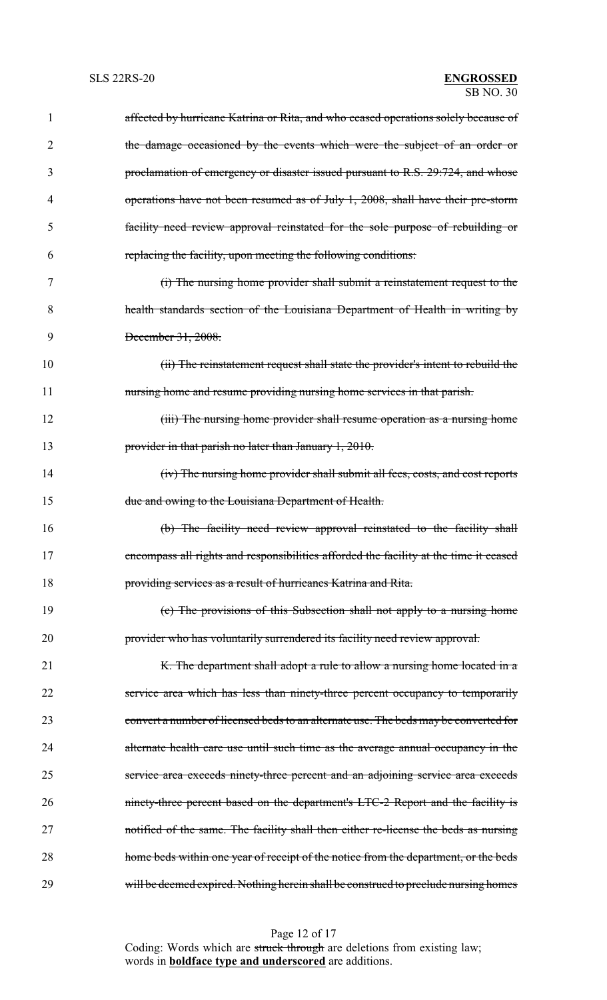| 1  | affected by hurricane Katrina or Rita, and who ceased operations solely because of    |
|----|---------------------------------------------------------------------------------------|
| 2  | the damage occasioned by the events which were the subject of an order or             |
| 3  | proclamation of emergency or disaster issued pursuant to R.S. 29:724, and whose       |
| 4  | operations have not been resumed as of July 1, 2008, shall have their pre-storm       |
| 5  | facility need review approval reinstated for the sole purpose of rebuilding or        |
| 6  | replacing the facility, upon meeting the following conditions:                        |
| 7  | (i) The nursing home provider shall submit a reinstatement request to the             |
| 8  | health standards section of the Louisiana Department of Health in writing by          |
| 9  | December 31, 2008.                                                                    |
| 10 | (ii) The reinstatement request shall state the provider's intent to rebuild the       |
| 11 | nursing home and resume providing nursing home services in that parish.               |
| 12 | (iii) The nursing home provider shall resume operation as a nursing home              |
| 13 | provider in that parish no later than January 1, 2010.                                |
| 14 | (iv) The nursing home provider shall submit all fees, costs, and cost reports         |
| 15 | due and owing to the Louisiana Department of Health.                                  |
| 16 | (b) The facility need review approval reinstated to the facility shall                |
| 17 | encompass all rights and responsibilities afforded the facility at the time it ceased |
| 18 | providing services as a result of hurricanes Katrina and Rita.                        |
| 19 | (c) The provisions of this Subsection shall not apply to a nursing home               |
| 20 | provider who has voluntarily surrendered its facility need review approval.           |
| 21 | K. The department shall adopt a rule to allow a nursing home located in a             |
| 22 | service area which has less than ninety-three percent occupancy to temporarily        |
| 23 | convert a number of licensed beds to an alternate use. The beds may be converted for  |
| 24 | alternate health care use until such time as the average annual occupancy in the      |
| 25 | service area exceeds ninety-three percent and an adjoining service area exceeds       |
| 26 | ninety-three percent based on the department's LTC-2 Report and the facility is       |
| 27 | notified of the same. The facility shall then either re-license the beds as nursing   |
| 28 | home beds within one year of receipt of the notice from the department, or the beds   |
| 29 | will be deemed expired. Nothing herein shall be construed to preclude nursing homes   |

Page 12 of 17

Coding: Words which are struck through are deletions from existing law; words in **boldface type and underscored** are additions.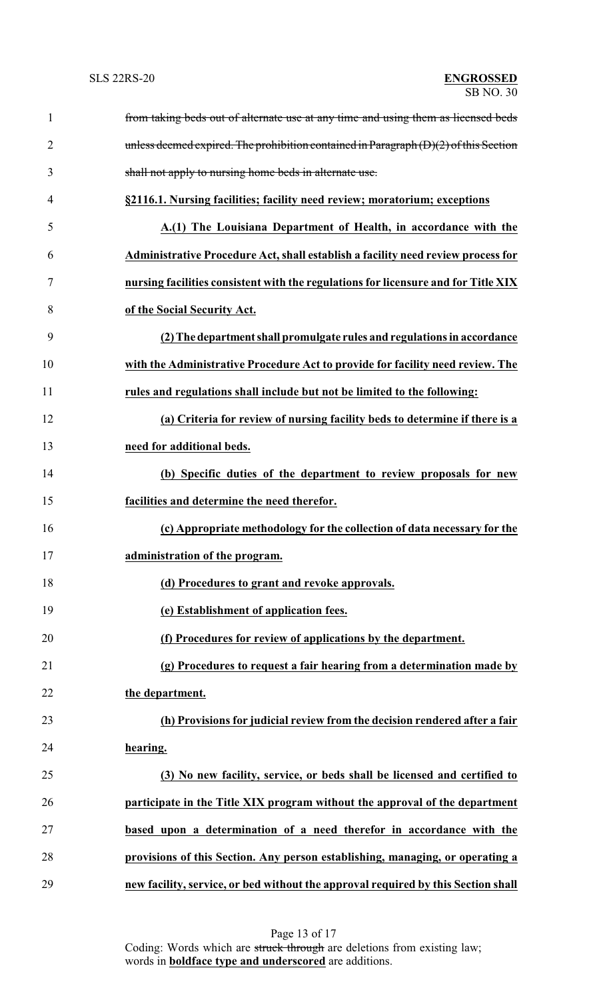| $\mathbf{1}$   | from taking beds out of alternate use at any time and using them as licensed beds      |
|----------------|----------------------------------------------------------------------------------------|
| $\overline{2}$ | unless deemed expired. The prohibition contained in Paragraph $(D)(2)$ of this Section |
| 3              | shall not apply to nursing home beds in alternate use.                                 |
| 4              | §2116.1. Nursing facilities; facility need review; moratorium; exceptions              |
| 5              | A.(1) The Louisiana Department of Health, in accordance with the                       |
| 6              | Administrative Procedure Act, shall establish a facility need review process for       |
| 7              | nursing facilities consistent with the regulations for licensure and for Title XIX     |
| 8              | of the Social Security Act.                                                            |
| 9              | (2) The department shall promulgate rules and regulations in accordance                |
| 10             | with the Administrative Procedure Act to provide for facility need review. The         |
| 11             | rules and regulations shall include but not be limited to the following:               |
| 12             | (a) Criteria for review of nursing facility beds to determine if there is a            |
| 13             | need for additional beds.                                                              |
| 14             | (b) Specific duties of the department to review proposals for new                      |
| 15             | facilities and determine the need therefor.                                            |
| 16             | (c) Appropriate methodology for the collection of data necessary for the               |
| 17             | administration of the program.                                                         |
| 18             | (d) Procedures to grant and revoke approvals.                                          |
| 19             | (e) Establishment of application fees.                                                 |
| 20             | (f) Procedures for review of applications by the department.                           |
| 21             | (g) Procedures to request a fair hearing from a determination made by                  |
| 22             | the department.                                                                        |
| 23             | (h) Provisions for judicial review from the decision rendered after a fair             |
| 24             | hearing.                                                                               |
| 25             | (3) No new facility, service, or beds shall be licensed and certified to               |
| 26             | participate in the Title XIX program without the approval of the department            |
| 27             | based upon a determination of a need therefor in accordance with the                   |
| 28             | provisions of this Section. Any person establishing, managing, or operating a          |
| 29             | new facility, service, or bed without the approval required by this Section shall      |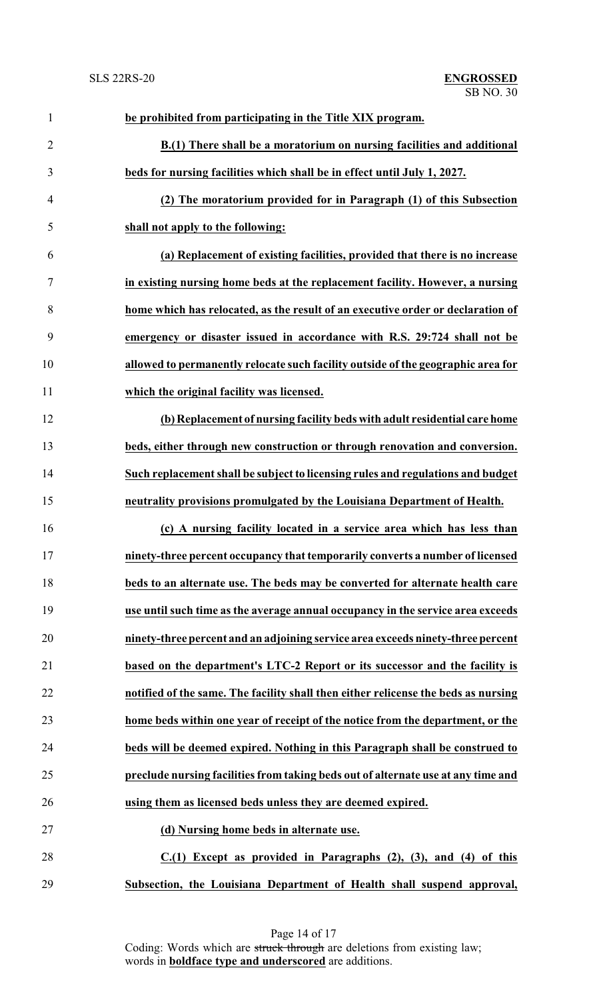| $\mathbf{1}$   | be prohibited from participating in the Title XIX program.                         |
|----------------|------------------------------------------------------------------------------------|
| $\overline{2}$ | B.(1) There shall be a moratorium on nursing facilities and additional             |
| 3              | beds for nursing facilities which shall be in effect until July 1, 2027.           |
| $\overline{4}$ | (2) The moratorium provided for in Paragraph (1) of this Subsection                |
| 5              | shall not apply to the following:                                                  |
| 6              | (a) Replacement of existing facilities, provided that there is no increase         |
| $\tau$         | in existing nursing home beds at the replacement facility. However, a nursing      |
| 8              | home which has relocated, as the result of an executive order or declaration of    |
| 9              | emergency or disaster issued in accordance with R.S. 29:724 shall not be           |
| 10             | allowed to permanently relocate such facility outside of the geographic area for   |
| 11             | which the original facility was licensed.                                          |
| 12             | (b) Replacement of nursing facility beds with adult residential care home          |
| 13             | beds, either through new construction or through renovation and conversion.        |
| 14             | Such replacement shall be subject to licensing rules and regulations and budget    |
| 15             | neutrality provisions promulgated by the Louisiana Department of Health.           |
| 16             | (c) A nursing facility located in a service area which has less than               |
| 17             | ninety-three percent occupancy that temporarily converts a number of licensed      |
| 18             | beds to an alternate use. The beds may be converted for alternate health care      |
| 19             | use until such time as the average annual occupancy in the service area exceeds    |
| 20             | ninety-three percent and an adjoining service area exceeds ninety-three percent    |
| 21             | based on the department's LTC-2 Report or its successor and the facility is        |
| 22             | notified of the same. The facility shall then either relicense the beds as nursing |
| 23             | home beds within one year of receipt of the notice from the department, or the     |
| 24             | beds will be deemed expired. Nothing in this Paragraph shall be construed to       |
| 25             | preclude nursing facilities from taking beds out of alternate use at any time and  |
| 26             | using them as licensed beds unless they are deemed expired.                        |
| 27             | (d) Nursing home beds in alternate use.                                            |
| 28             | $C(1)$ Except as provided in Paragraphs $(2)$ , $(3)$ , and $(4)$ of this          |
| 29             | Subsection, the Louisiana Department of Health shall suspend approval,             |

Page 14 of 17 Coding: Words which are struck through are deletions from existing law; words in **boldface type and underscored** are additions.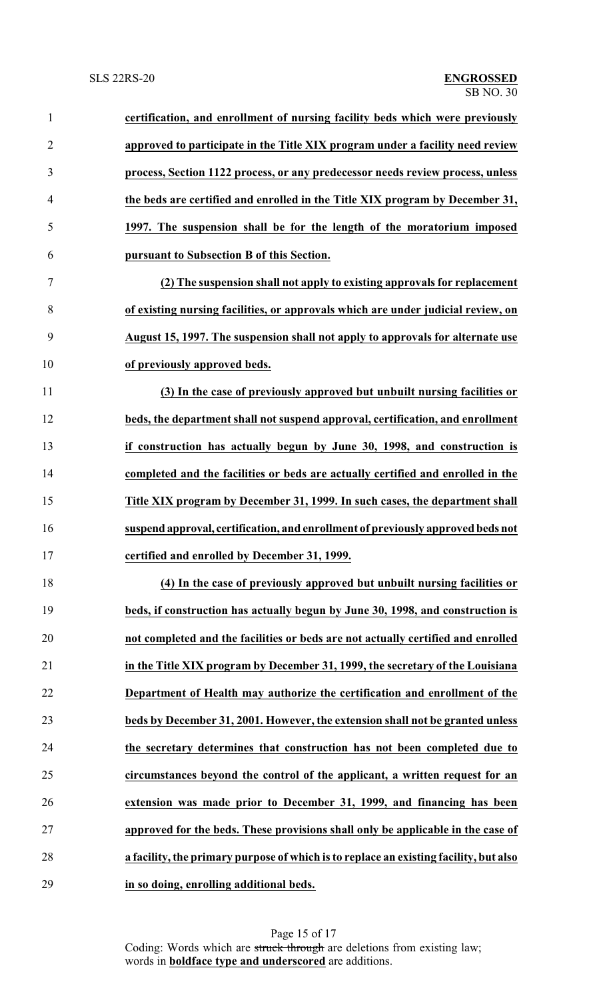| $\mathbf{1}$   | certification, and enrollment of nursing facility beds which were previously          |
|----------------|---------------------------------------------------------------------------------------|
| $\overline{2}$ | approved to participate in the Title XIX program under a facility need review         |
| 3              | process, Section 1122 process, or any predecessor needs review process, unless        |
| $\overline{4}$ | the beds are certified and enrolled in the Title XIX program by December 31,          |
| 5              | 1997. The suspension shall be for the length of the moratorium imposed                |
| 6              | pursuant to Subsection B of this Section.                                             |
| $\tau$         | (2) The suspension shall not apply to existing approvals for replacement              |
| 8              | of existing nursing facilities, or approvals which are under judicial review, on      |
| 9              | August 15, 1997. The suspension shall not apply to approvals for alternate use        |
| 10             | of previously approved beds.                                                          |
| 11             | (3) In the case of previously approved but unbuilt nursing facilities or              |
| 12             | beds, the department shall not suspend approval, certification, and enrollment        |
| 13             | if construction has actually begun by June 30, 1998, and construction is              |
| 14             | completed and the facilities or beds are actually certified and enrolled in the       |
| 15             | Title XIX program by December 31, 1999. In such cases, the department shall           |
| 16             | suspend approval, certification, and enrollment of previously approved beds not       |
| 17             | certified and enrolled by December 31, 1999.                                          |
| 18             | (4) In the case of previously approved but unbuilt nursing facilities or              |
| 19             | beds, if construction has actually begun by June 30, 1998, and construction is        |
| 20             | not completed and the facilities or beds are not actually certified and enrolled      |
| 21             | in the Title XIX program by December 31, 1999, the secretary of the Louisiana         |
| 22             | Department of Health may authorize the certification and enrollment of the            |
| 23             | beds by December 31, 2001. However, the extension shall not be granted unless         |
| 24             | the secretary determines that construction has not been completed due to              |
| 25             | circumstances beyond the control of the applicant, a written request for an           |
| 26             | extension was made prior to December 31, 1999, and financing has been                 |
| 27             | approved for the beds. These provisions shall only be applicable in the case of       |
| 28             | a facility, the primary purpose of which is to replace an existing facility, but also |
| 29             | in so doing, enrolling additional beds.                                               |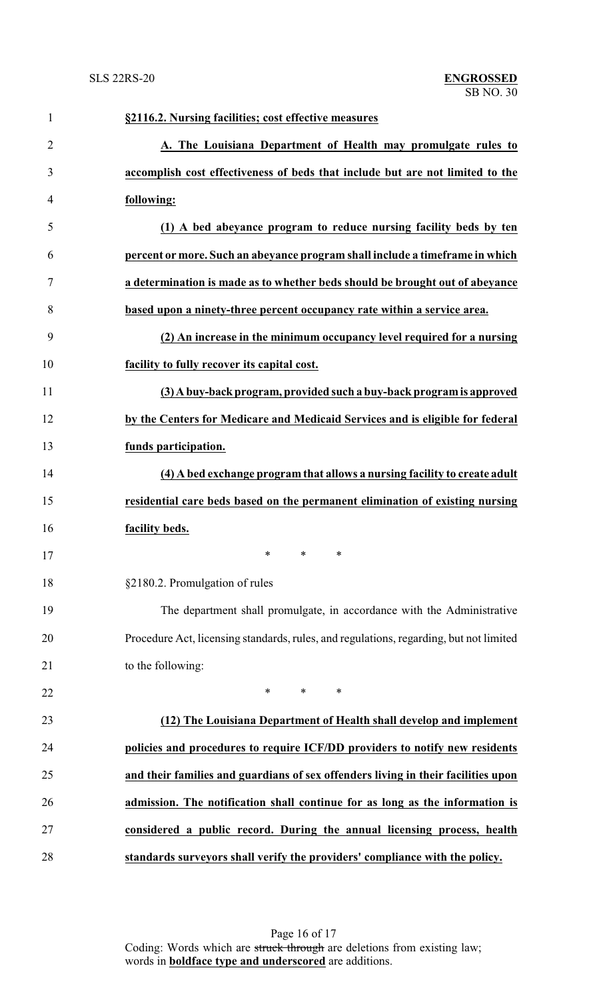| $\mathbf{1}$   | §2116.2. Nursing facilities; cost effective measures                                   |
|----------------|----------------------------------------------------------------------------------------|
| $\overline{2}$ | A. The Louisiana Department of Health may promulgate rules to                          |
| 3              | accomplish cost effectiveness of beds that include but are not limited to the          |
| 4              | following:                                                                             |
| 5              | (1) A bed abeyance program to reduce nursing facility beds by ten                      |
| 6              | percent or more. Such an abeyance program shall include a timeframe in which           |
| 7              | a determination is made as to whether beds should be brought out of abeyance           |
| 8              | based upon a ninety-three percent occupancy rate within a service area.                |
| 9              | (2) An increase in the minimum occupancy level required for a nursing                  |
| 10             | facility to fully recover its capital cost.                                            |
| 11             | (3) A buy-back program, provided such a buy-back program is approved                   |
| 12             | by the Centers for Medicare and Medicaid Services and is eligible for federal          |
| 13             | funds participation.                                                                   |
| 14             | (4) A bed exchange program that allows a nursing facility to create adult              |
| 15             | residential care beds based on the permanent elimination of existing nursing           |
| 16             | facility beds.                                                                         |
| 17             | يو يو پو                                                                               |
| 18             | §2180.2. Promulgation of rules                                                         |
| 19             | The department shall promulgate, in accordance with the Administrative                 |
| 20             | Procedure Act, licensing standards, rules, and regulations, regarding, but not limited |
| 21             | to the following:                                                                      |
| 22             | $\ast$<br>$*$ and $*$<br>∗                                                             |
| 23             | (12) The Louisiana Department of Health shall develop and implement                    |
| 24             | policies and procedures to require ICF/DD providers to notify new residents            |
| 25             | and their families and guardians of sex offenders living in their facilities upon      |
| 26             | admission. The notification shall continue for as long as the information is           |
| 27             | considered a public record. During the annual licensing process, health                |
| 28             | standards surveyors shall verify the providers' compliance with the policy.            |